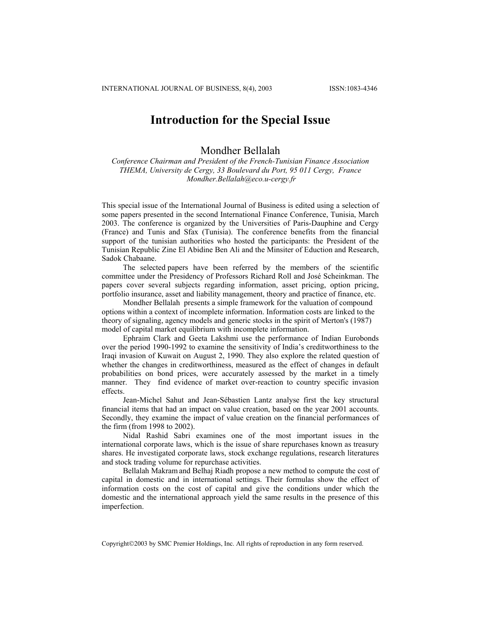## **Introduction for the Special Issue**

## Mondher Bellalah

*Conference Chairman and President of the French-Tunisian Finance Association THEMA, University de Cergy, 33 Boulevard du Port, 95 011 Cergy, France Mondher.Bel[lalah@eco.u-cergy.fr](mailto:Mondher.Bellalah@eco.u-cergy.fr)*

This special issue of the International Journal of Business is edited using a selection of some papers presented in the second International Finance Conference, Tunisia, March 2003. The conference is organized by the Universities of Paris-Dauphine and Cergy (France) and Tunis and Sfax (Tunisia). The conference benefits from the financial support of the tunisian authorities who hosted the participants: the President of the Tunisian Republic Zine El Abidine Ben Ali and the Minsiter of Eduction and Research, Sadok Chabaane.

The selected papers have been referred by the members of the scientific committee under the Presidency of Professors Richard Roll and José Scheinkman. The papers cover several subjects regarding information, asset pricing, option pricing, portfolio insurance, asset and liability management, theory and practice of finance, etc.

Mondher Bellalah presents a simple framework for the valuation of compound options within a context of incomplete information. Information costs are linked to the theory of signaling, agency models and generic stocks in the spirit of Merton's (1987) model of capital market equilibrium with incomplete information.

Ephraim Clark and Geeta Lakshmi use the performance of Indian Eurobonds over the period 1990-1992 to examine the sensitivity of India's creditworthiness to the Iraqi invasion of Kuwait on August 2, 1990. They also explore the related question of whether the changes in creditworthiness, measured as the effect of changes in default probabilities on bond prices, were accurately assessed by the market in a timely manner. They find evidence of market over-reaction to country specific invasion effects.

Jean-Michel Sahut and Jean-Sébastien Lantz analyse first the key structural financial items that had an impact on value creation, based on the year 2001 accounts. Secondly, they examine the impact of value creation on the financial performances of the firm (from 1998 to 2002).

Nidal Rashid Sabri examines one of the most important issues in the international corporate laws, which is the issue of share repurchases known as treasury shares. He investigated corporate laws, stock exchange regulations, research literatures and stock trading volume for repurchase activities.

Bellalah Makramand Belhaj Riadh propose a new method to compute the cost of capital in domestic and in international settings. Their formulas show the effect of information costs on the cost of capital and give the conditions under which the domestic and the international approach yield the same results in the presence of this imperfection.

Copyright©2003 by SMC Premier Holdings, Inc. All rights of reproduction in any form reserved.